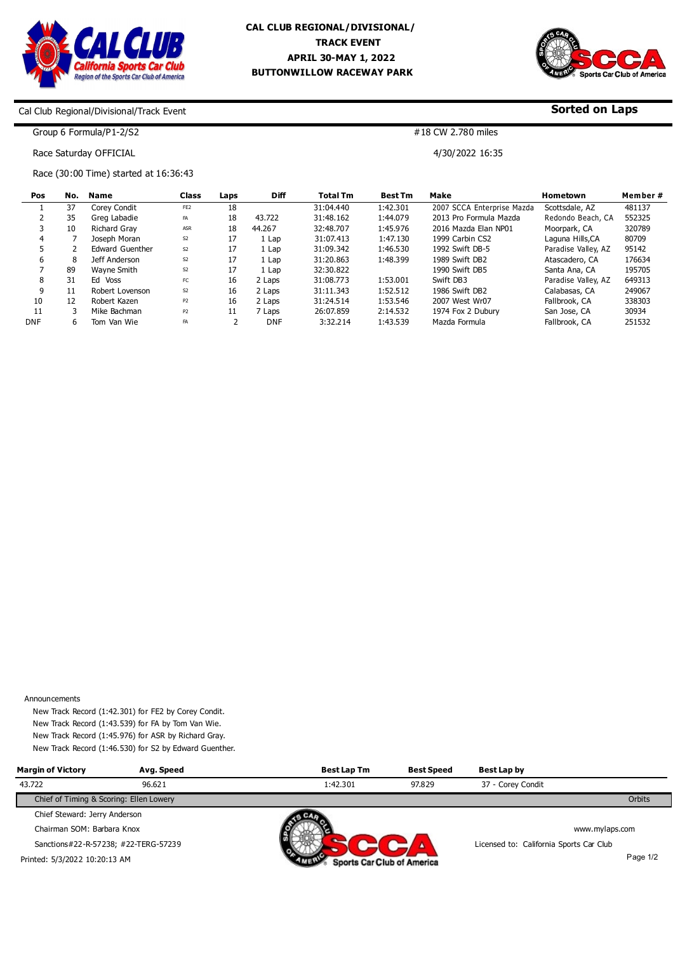



**Sorted on Laps**

## Cal Club Regional/Divisional/Track Event

Group 6 Formula/P1-2/S2 Race Saturday OFFICIAL

#18 CW 2.780 miles

4/30/2022 16:35

Race (30:00 Time) started at 16:36:43

| Pos        | No. | Name                | Class           | Laps           | <b>Diff</b> | <b>Total Tm</b> | <b>Best Tm</b> | Make                       | Hometown            | Member# |
|------------|-----|---------------------|-----------------|----------------|-------------|-----------------|----------------|----------------------------|---------------------|---------|
|            | 37  | Corey Condit        | FE <sub>2</sub> | 18             |             | 31:04.440       | 1:42.301       | 2007 SCCA Enterprise Mazda | Scottsdale, AZ      | 481137  |
|            | 35  | Grea Labadie        | FA              | 18             | 43.722      | 31:48.162       | 1:44.079       | 2013 Pro Formula Mazda     | Redondo Beach, CA   | 552325  |
|            | 10  | <b>Richard Grav</b> | <b>ASR</b>      | 18             | 44.267      | 32:48.707       | 1:45.976       | 2016 Mazda Elan NP01       | Moorpark, CA        | 320789  |
|            |     | Joseph Moran        | S <sub>2</sub>  | 17             | 1 Lap       | 31:07.413       | 1:47.130       | 1999 Carbin CS2            | Laguna Hills,CA     | 80709   |
|            |     | Edward Guenther     | S <sub>2</sub>  | 17             | 1 Lap       | 31:09.342       | 1:46.530       | 1992 Swift DB-5            | Paradise Valley, AZ | 95142   |
| 6          | 8   | Jeff Anderson       | S <sub>2</sub>  | 17             | 1 Lap       | 31:20.863       | 1:48.399       | 1989 Swift DB2             | Atascadero, CA      | 176634  |
|            | 89  | Wavne Smith         | S <sub>2</sub>  | 17             | 1 Lap       | 32:30.822       |                | 1990 Swift DB5             | Santa Ana, CA       | 195705  |
| 8          | 31  | Ed Voss             | <b>FC</b>       | 16             | 2 Laps      | 31:08.773       | 1:53.001       | Swift DB3                  | Paradise Valley, AZ | 649313  |
| 9          | 11  | Robert Lovenson     | S <sub>2</sub>  | 16             | 2 Laps      | 31:11.343       | 1:52.512       | 1986 Swift DB2             | Calabasas, CA       | 249067  |
| 10         | 12  | Robert Kazen        | P <sub>2</sub>  | 16             | 2 Laps      | 31:24.514       | 1:53.546       | 2007 West Wr07             | Fallbrook, CA       | 338303  |
| 11         | 3   | Mike Bachman        | <b>P2</b>       | 11             | 7 Laps      | 26:07.859       | 2:14.532       | 1974 Fox 2 Dubury          | San Jose, CA        | 30934   |
| <b>DNF</b> | 6   | Tom Van Wie         | <b>FA</b>       | $\overline{2}$ | DNF         | 3:32.214        | 1:43.539       | Mazda Formula              | Fallbrook, CA       | 251532  |

Announcements

New Track Record (1:42.301) for FE2 by Corey Condit. New Track Record (1:43.539) for FA by Tom Van Wie. New Track Record (1:45.976) for ASR by Richard Gray. New Track Record (1:46.530) for S2 by Edward Guenther.

| <b>Margin of Victory</b>                | Avg. Speed | <b>Best Lap Tm</b>         | <b>Best Speed</b> | Best Lap by                             |                |
|-----------------------------------------|------------|----------------------------|-------------------|-----------------------------------------|----------------|
| 43.722                                  | 96.621     | 1:42.301                   | 97.829            | 37 - Corey Condit                       |                |
| Chief of Timing & Scoring: Ellen Lowery |            |                            |                   |                                         | Orbits         |
| Chief Steward: Jerry Anderson           |            |                            |                   |                                         |                |
| Chairman SOM: Barbara Knox              |            |                            |                   |                                         | www.mylaps.com |
| Sanctions#22-R-57238; #22-TERG-57239    |            |                            |                   | Licensed to: California Sports Car Club |                |
| Printed: 5/3/2022 10:20:13 AM           |            | Sports Car Club of America |                   |                                         | Page 1/2       |